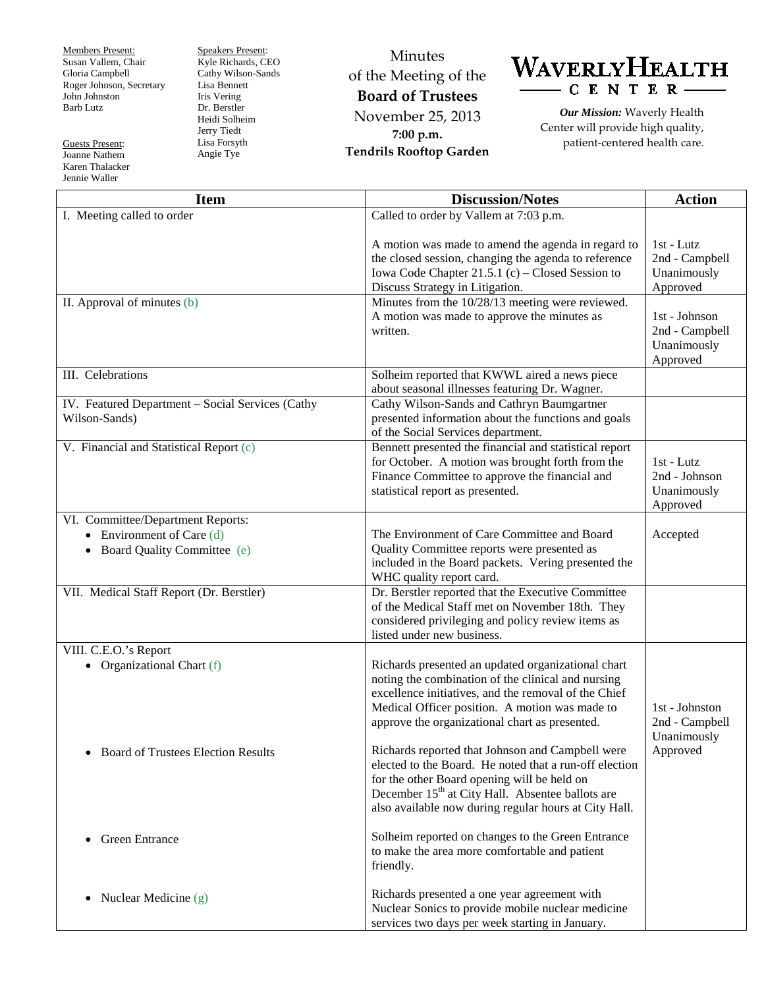Members Present: Susan Vallem, Chair Gloria Campbell Roger Johnson, Secretary John Johnston Barb Lutz

Guests Present: Joanne Nathem Karen Thalacker Jennie Waller

Speakers Present: Kyle Richards, CEO Cathy Wilson-Sands Lisa Bennett Iris Vering Dr. Berstler Heidi Solheim Jerry Tiedt Lisa Forsyth Angie Tye

Minutes of the Meeting of the **Board of Trustees** November 25, 2013 **7:00 p.m. Tendrils Rooftop Garden**



*Our Mission:* Waverly Health Center will provide high quality, patient-centered health care.

| <b>Item</b>                                                                                       | <b>Discussion/Notes</b>                                                                                                                                                                                                                                                                                          | <b>Action</b>                                                                                                         |
|---------------------------------------------------------------------------------------------------|------------------------------------------------------------------------------------------------------------------------------------------------------------------------------------------------------------------------------------------------------------------------------------------------------------------|-----------------------------------------------------------------------------------------------------------------------|
| I. Meeting called to order                                                                        | Called to order by Vallem at 7:03 p.m.                                                                                                                                                                                                                                                                           |                                                                                                                       |
| II. Approval of minutes (b)                                                                       | A motion was made to amend the agenda in regard to<br>the closed session, changing the agenda to reference<br>Iowa Code Chapter 21.5.1 (c) – Closed Session to<br>Discuss Strategy in Litigation.<br>Minutes from the 10/28/13 meeting were reviewed.<br>A motion was made to approve the minutes as<br>written. | 1st - Lutz<br>2nd - Campbell<br>Unanimously<br>Approved<br>1st - Johnson<br>2nd - Campbell<br>Unanimously<br>Approved |
| III. Celebrations                                                                                 | Solheim reported that KWWL aired a news piece<br>about seasonal illnesses featuring Dr. Wagner.                                                                                                                                                                                                                  |                                                                                                                       |
| IV. Featured Department - Social Services (Cathy<br>Wilson-Sands)                                 | Cathy Wilson-Sands and Cathryn Baumgartner<br>presented information about the functions and goals<br>of the Social Services department.                                                                                                                                                                          |                                                                                                                       |
| V. Financial and Statistical Report (c)                                                           | Bennett presented the financial and statistical report<br>for October. A motion was brought forth from the<br>Finance Committee to approve the financial and<br>statistical report as presented.                                                                                                                 | $1st$ - Lutz<br>2nd - Johnson<br>Unanimously<br>Approved                                                              |
| VI. Committee/Department Reports:<br>• Environment of Care $(d)$<br>• Board Quality Committee (e) | The Environment of Care Committee and Board<br>Quality Committee reports were presented as<br>included in the Board packets. Vering presented the<br>WHC quality report card.                                                                                                                                    | Accepted                                                                                                              |
| VII. Medical Staff Report (Dr. Berstler)                                                          | Dr. Berstler reported that the Executive Committee<br>of the Medical Staff met on November 18th. They<br>considered privileging and policy review items as<br>listed under new business.                                                                                                                         |                                                                                                                       |
| VIII. C.E.O.'s Report<br>• Organizational Chart $(f)$                                             | Richards presented an updated organizational chart<br>noting the combination of the clinical and nursing<br>excellence initiatives, and the removal of the Chief<br>Medical Officer position. A motion was made to<br>approve the organizational chart as presented.                                             | 1st - Johnston<br>2nd - Campbell<br>Unanimously                                                                       |
| <b>Board of Trustees Election Results</b>                                                         | Richards reported that Johnson and Campbell were<br>elected to the Board. He noted that a run-off election<br>for the other Board opening will be held on<br>December 15 <sup>th</sup> at City Hall. Absentee ballots are<br>also available now during regular hours at City Hall.                               | Approved                                                                                                              |
| <b>Green Entrance</b>                                                                             | Solheim reported on changes to the Green Entrance<br>to make the area more comfortable and patient<br>friendly.                                                                                                                                                                                                  |                                                                                                                       |
| Nuclear Medicine (g)<br>$\bullet$                                                                 | Richards presented a one year agreement with<br>Nuclear Sonics to provide mobile nuclear medicine<br>services two days per week starting in January.                                                                                                                                                             |                                                                                                                       |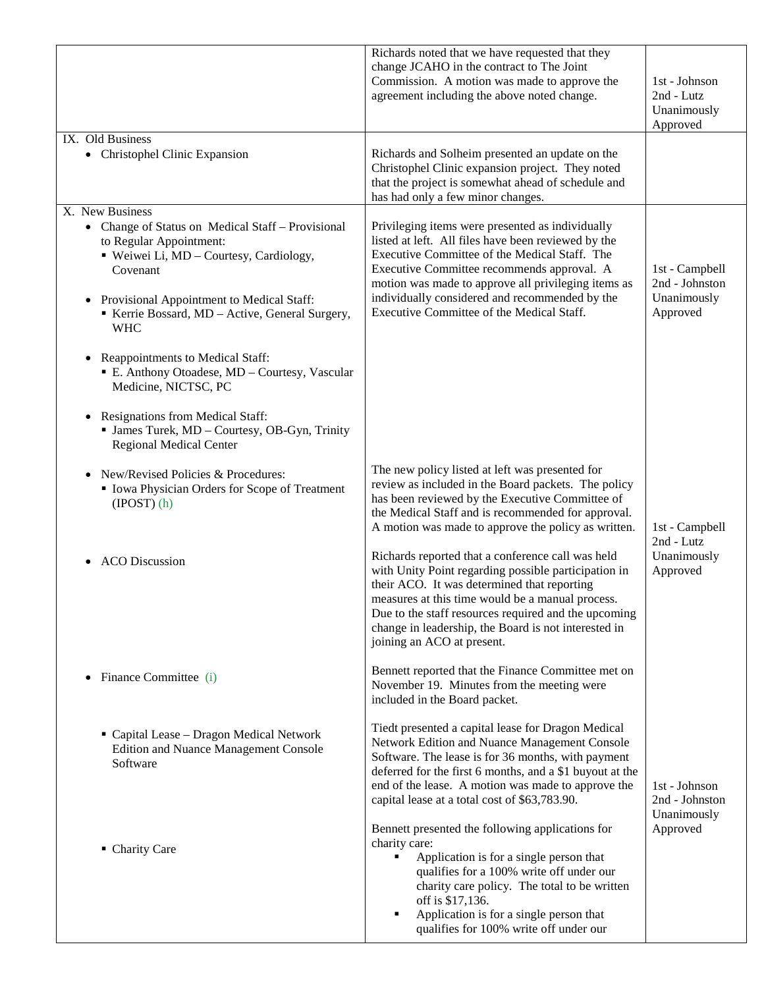|                                                                                                                                                                                                                                                                                                                       | Richards noted that we have requested that they<br>change JCAHO in the contract to The Joint<br>Commission. A motion was made to approve the<br>agreement including the above noted change.                                                                                                                                                                  | 1st - Johnson<br>2nd - Lutz<br>Unanimously<br>Approved      |
|-----------------------------------------------------------------------------------------------------------------------------------------------------------------------------------------------------------------------------------------------------------------------------------------------------------------------|--------------------------------------------------------------------------------------------------------------------------------------------------------------------------------------------------------------------------------------------------------------------------------------------------------------------------------------------------------------|-------------------------------------------------------------|
| IX. Old Business<br>• Christophel Clinic Expansion                                                                                                                                                                                                                                                                    | Richards and Solheim presented an update on the<br>Christophel Clinic expansion project. They noted<br>that the project is somewhat ahead of schedule and<br>has had only a few minor changes.                                                                                                                                                               |                                                             |
| X. New Business<br>• Change of Status on Medical Staff - Provisional<br>to Regular Appointment:<br>" Weiwei Li, MD - Courtesy, Cardiology,<br>Covenant<br>• Provisional Appointment to Medical Staff:<br>Kerrie Bossard, MD - Active, General Surgery,<br><b>WHC</b><br>Reappointments to Medical Staff:<br>$\bullet$ | Privileging items were presented as individually<br>listed at left. All files have been reviewed by the<br>Executive Committee of the Medical Staff. The<br>Executive Committee recommends approval. A<br>motion was made to approve all privileging items as<br>individually considered and recommended by the<br>Executive Committee of the Medical Staff. | 1st - Campbell<br>2nd - Johnston<br>Unanimously<br>Approved |
| E. Anthony Otoadese, MD - Courtesy, Vascular<br>Medicine, NICTSC, PC<br><b>Resignations from Medical Staff:</b><br>$\bullet$<br>· James Turek, MD - Courtesy, OB-Gyn, Trinity<br><b>Regional Medical Center</b>                                                                                                       |                                                                                                                                                                                                                                                                                                                                                              |                                                             |
| New/Revised Policies & Procedures:<br>• Iowa Physician Orders for Scope of Treatment<br>$(IPOST)$ $(h)$                                                                                                                                                                                                               | The new policy listed at left was presented for<br>review as included in the Board packets. The policy<br>has been reviewed by the Executive Committee of<br>the Medical Staff and is recommended for approval.<br>A motion was made to approve the policy as written.                                                                                       | 1st - Campbell<br>2nd - Lutz                                |
| <b>ACO</b> Discussion                                                                                                                                                                                                                                                                                                 | Richards reported that a conference call was held<br>with Unity Point regarding possible participation in<br>their ACO. It was determined that reporting<br>measures at this time would be a manual process.<br>Due to the staff resources required and the upcoming<br>change in leadership, the Board is not interested in<br>joining an ACO at present.   | Unanimously<br>Approved                                     |
| Finance Committee (i)                                                                                                                                                                                                                                                                                                 | Bennett reported that the Finance Committee met on<br>November 19. Minutes from the meeting were<br>included in the Board packet.                                                                                                                                                                                                                            |                                                             |
| " Capital Lease - Dragon Medical Network<br><b>Edition and Nuance Management Console</b><br>Software                                                                                                                                                                                                                  | Tiedt presented a capital lease for Dragon Medical<br>Network Edition and Nuance Management Console<br>Software. The lease is for 36 months, with payment<br>deferred for the first 6 months, and a \$1 buyout at the<br>end of the lease. A motion was made to approve the<br>capital lease at a total cost of \$63,783.90.                                 | 1st - Johnson<br>2nd - Johnston                             |
| • Charity Care                                                                                                                                                                                                                                                                                                        | Bennett presented the following applications for<br>charity care:<br>Application is for a single person that<br>٠<br>qualifies for a 100% write off under our<br>charity care policy. The total to be written<br>off is \$17,136.<br>Application is for a single person that<br>٠<br>qualifies for 100% write off under our                                  | Unanimously<br>Approved                                     |